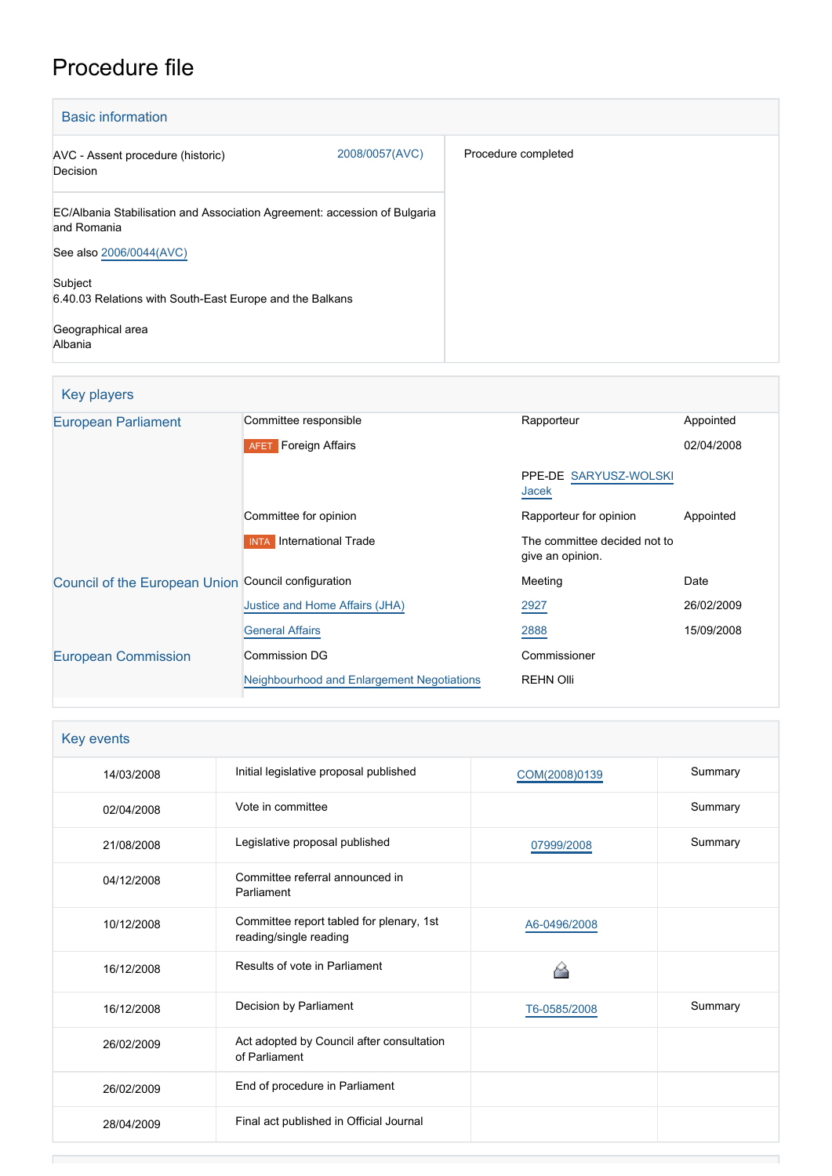# Procedure file

| <b>Basic information</b>                                                                 |                |                     |
|------------------------------------------------------------------------------------------|----------------|---------------------|
| AVC - Assent procedure (historic)<br>Decision                                            | 2008/0057(AVC) | Procedure completed |
| EC/Albania Stabilisation and Association Agreement: accession of Bulgaria<br>and Romania |                |                     |
| See also 2006/0044(AVC)                                                                  |                |                     |
| Subject<br>6.40.03 Relations with South-East Europe and the Balkans                      |                |                     |
| Geographical area<br>Albania                                                             |                |                     |

| Key players                                         |                                            |                                                  |            |
|-----------------------------------------------------|--------------------------------------------|--------------------------------------------------|------------|
| European Parliament                                 | Committee responsible                      | Rapporteur                                       | Appointed  |
|                                                     | <b>AFET</b> Foreign Affairs                |                                                  | 02/04/2008 |
|                                                     |                                            | PPE-DE SARYUSZ-WOLSKI<br>Jacek                   |            |
|                                                     | Committee for opinion                      | Rapporteur for opinion                           | Appointed  |
|                                                     | International Trade<br><b>INTA</b>         | The committee decided not to<br>give an opinion. |            |
| Council of the European Union Council configuration |                                            | Meeting                                          | Date       |
|                                                     | Justice and Home Affairs (JHA)             | 2927                                             | 26/02/2009 |
|                                                     | <b>General Affairs</b>                     | 2888                                             | 15/09/2008 |
| <b>European Commission</b>                          | Commission DG                              | Commissioner                                     |            |
|                                                     | Neighbourhood and Enlargement Negotiations | <b>REHN Olli</b>                                 |            |

| <b>Key events</b> |                                                                    |               |         |
|-------------------|--------------------------------------------------------------------|---------------|---------|
| 14/03/2008        | Initial legislative proposal published                             | COM(2008)0139 | Summary |
| 02/04/2008        | Vote in committee                                                  |               | Summary |
| 21/08/2008        | Legislative proposal published                                     | 07999/2008    | Summary |
| 04/12/2008        | Committee referral announced in<br>Parliament                      |               |         |
| 10/12/2008        | Committee report tabled for plenary, 1st<br>reading/single reading | A6-0496/2008  |         |
| 16/12/2008        | Results of vote in Parliament                                      |               |         |
| 16/12/2008        | Decision by Parliament                                             | T6-0585/2008  | Summary |
| 26/02/2009        | Act adopted by Council after consultation<br>of Parliament         |               |         |
| 26/02/2009        | End of procedure in Parliament                                     |               |         |
| 28/04/2009        | Final act published in Official Journal                            |               |         |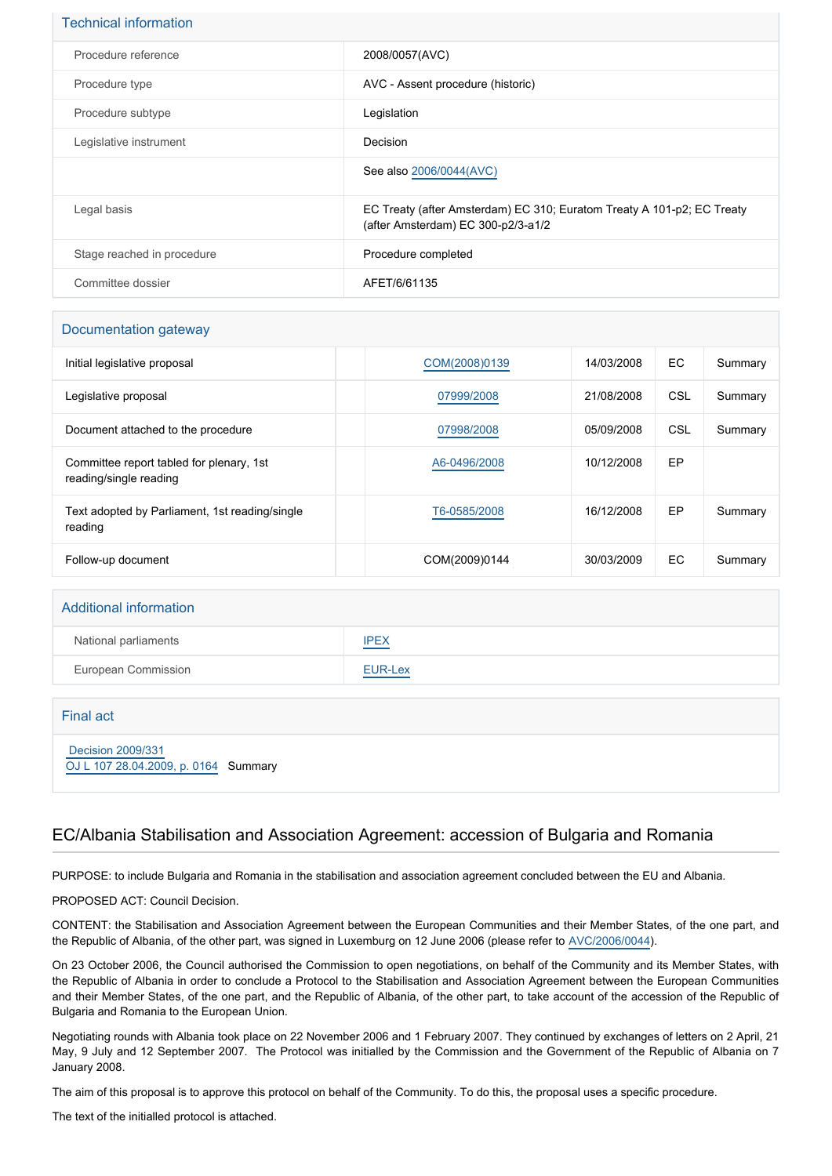| <b>Technical information</b> |                                                                                                              |
|------------------------------|--------------------------------------------------------------------------------------------------------------|
| Procedure reference          | 2008/0057(AVC)                                                                                               |
| Procedure type               | AVC - Assent procedure (historic)                                                                            |
| Procedure subtype            | Legislation                                                                                                  |
| Legislative instrument       | Decision                                                                                                     |
|                              | See also 2006/0044(AVC)                                                                                      |
| Legal basis                  | EC Treaty (after Amsterdam) EC 310; Euratom Treaty A 101-p2; EC Treaty<br>(after Amsterdam) EC 300-p2/3-a1/2 |
| Stage reached in procedure   | Procedure completed                                                                                          |
| Committee dossier            | AFET/6/61135                                                                                                 |

| Documentation gateway                                              |               |            |     |         |
|--------------------------------------------------------------------|---------------|------------|-----|---------|
| Initial legislative proposal                                       | COM(2008)0139 | 14/03/2008 | EC. | Summary |
| Legislative proposal                                               | 07999/2008    | 21/08/2008 | CSL | Summary |
| Document attached to the procedure                                 | 07998/2008    | 05/09/2008 | CSL | Summary |
| Committee report tabled for plenary, 1st<br>reading/single reading | A6-0496/2008  | 10/12/2008 | EP  |         |
| Text adopted by Parliament, 1st reading/single<br>reading          | T6-0585/2008  | 16/12/2008 | EP  | Summary |
| Follow-up document                                                 | COM(2009)0144 | 30/03/2009 | EC. | Summary |

| <b>Additional information</b> |             |
|-------------------------------|-------------|
| National parliaments          | <b>IPEX</b> |
| European Commission           | EUR-Lex     |
|                               |             |

Final act  [Decision 2009/331](https://eur-lex.europa.eu/smartapi/cgi/sga_doc?smartapi!celexplus!prod!CELEXnumdoc&lg=EN&numdoc=32009D0331) [OJ L 107 28.04.2009, p. 0164](https://eur-lex.europa.eu/legal-content/EN/TXT/?uri=OJ:L:2009:107:TOC) Summary

## EC/Albania Stabilisation and Association Agreement: accession of Bulgaria and Romania

PURPOSE: to include Bulgaria and Romania in the stabilisation and association agreement concluded between the EU and Albania.

PROPOSED ACT: Council Decision.

CONTENT: the Stabilisation and Association Agreement between the European Communities and their Member States, of the one part, and the Republic of Albania, of the other part, was signed in Luxemburg on 12 June 2006 (please refer to [AVC/2006/0044](http://www.europarl.europa.eu/oeil/FindByProcnum.do?lang=en&procnum=AVC/2006/0044)).

On 23 October 2006, the Council authorised the Commission to open negotiations, on behalf of the Community and its Member States, with the Republic of Albania in order to conclude a Protocol to the Stabilisation and Association Agreement between the European Communities and their Member States, of the one part, and the Republic of Albania, of the other part, to take account of the accession of the Republic of Bulgaria and Romania to the European Union.

Negotiating rounds with Albania took place on 22 November 2006 and 1 February 2007. They continued by exchanges of letters on 2 April, 21 May, 9 July and 12 September 2007. The Protocol was initialled by the Commission and the Government of the Republic of Albania on 7 January 2008.

The aim of this proposal is to approve this protocol on behalf of the Community. To do this, the proposal uses a specific procedure.

The text of the initialled protocol is attached.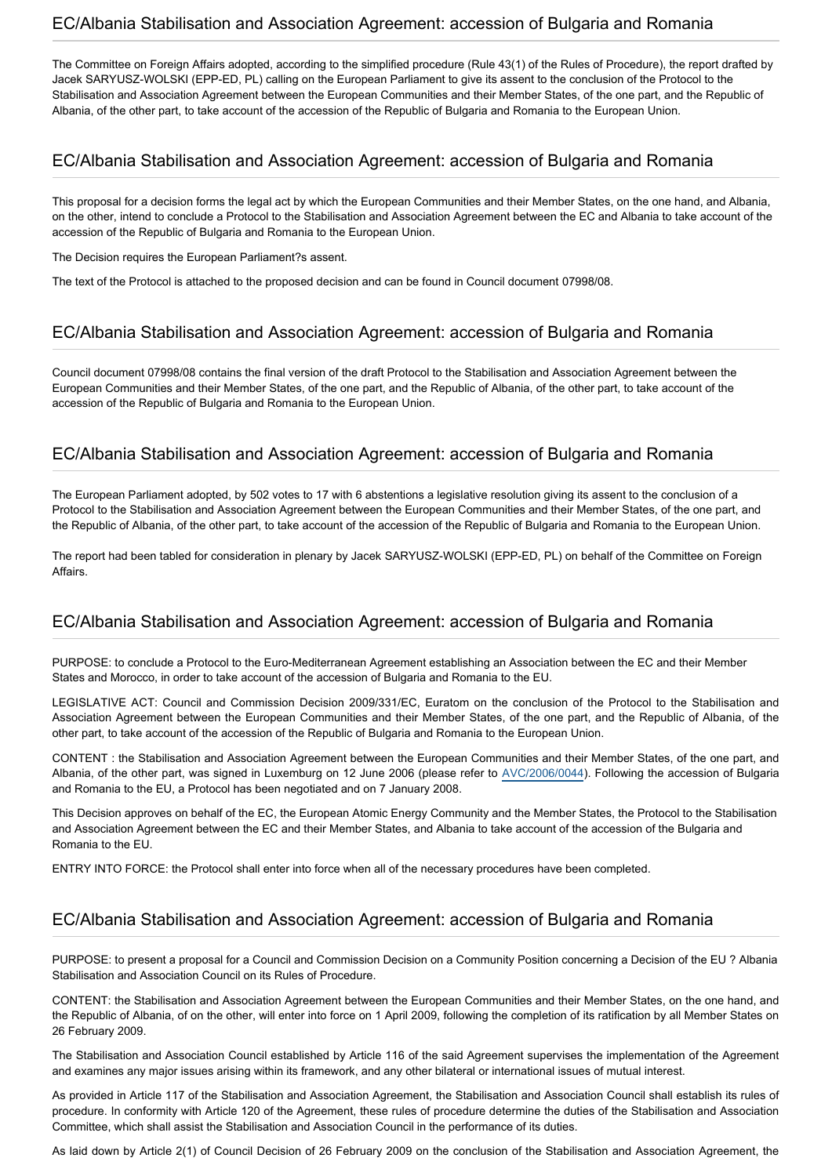#### EC/Albania Stabilisation and Association Agreement: accession of Bulgaria and Romania

The Committee on Foreign Affairs adopted, according to the simplified procedure (Rule 43(1) of the Rules of Procedure), the report drafted by Jacek SARYUSZ-WOLSKI (EPP-ED, PL) calling on the European Parliament to give its assent to the conclusion of the Protocol to the Stabilisation and Association Agreement between the European Communities and their Member States, of the one part, and the Republic of Albania, of the other part, to take account of the accession of the Republic of Bulgaria and Romania to the European Union.

# EC/Albania Stabilisation and Association Agreement: accession of Bulgaria and Romania

This proposal for a decision forms the legal act by which the European Communities and their Member States, on the one hand, and Albania, on the other, intend to conclude a Protocol to the Stabilisation and Association Agreement between the EC and Albania to take account of the accession of the Republic of Bulgaria and Romania to the European Union.

The Decision requires the European Parliament?s assent.

The text of the Protocol is attached to the proposed decision and can be found in Council document 07998/08.

## EC/Albania Stabilisation and Association Agreement: accession of Bulgaria and Romania

Council document 07998/08 contains the final version of the draft Protocol to the Stabilisation and Association Agreement between the European Communities and their Member States, of the one part, and the Republic of Albania, of the other part, to take account of the accession of the Republic of Bulgaria and Romania to the European Union.

## EC/Albania Stabilisation and Association Agreement: accession of Bulgaria and Romania

The European Parliament adopted, by 502 votes to 17 with 6 abstentions a legislative resolution giving its assent to the conclusion of a Protocol to the Stabilisation and Association Agreement between the European Communities and their Member States, of the one part, and the Republic of Albania, of the other part, to take account of the accession of the Republic of Bulgaria and Romania to the European Union.

The report had been tabled for consideration in plenary by Jacek SARYUSZ-WOLSKI (EPP-ED, PL) on behalf of the Committee on Foreign Affairs.

#### EC/Albania Stabilisation and Association Agreement: accession of Bulgaria and Romania

PURPOSE: to conclude a Protocol to the Euro-Mediterranean Agreement establishing an Association between the EC and their Member States and Morocco, in order to take account of the accession of Bulgaria and Romania to the EU.

LEGISLATIVE ACT: Council and Commission Decision 2009/331/EC, Euratom on the conclusion of the Protocol to the Stabilisation and Association Agreement between the European Communities and their Member States, of the one part, and the Republic of Albania, of the other part, to take account of the accession of the Republic of Bulgaria and Romania to the European Union.

CONTENT : the Stabilisation and Association Agreement between the European Communities and their Member States, of the one part, and Albania, of the other part, was signed in Luxemburg on 12 June 2006 (please refer to [AVC/2006/0044\)](http://www.europarl.europa.eu/oeil/FindByProcnum.do?lang=en&procnum=AVC/2006/0044). Following the accession of Bulgaria and Romania to the EU, a Protocol has been negotiated and on 7 January 2008.

This Decision approves on behalf of the EC, the European Atomic Energy Community and the Member States, the Protocol to the Stabilisation and Association Agreement between the EC and their Member States, and Albania to take account of the accession of the Bulgaria and Romania to the EU.

ENTRY INTO FORCE: the Protocol shall enter into force when all of the necessary procedures have been completed.

# EC/Albania Stabilisation and Association Agreement: accession of Bulgaria and Romania

PURPOSE: to present a proposal for a Council and Commission Decision on a Community Position concerning a Decision of the EU ? Albania Stabilisation and Association Council on its Rules of Procedure.

CONTENT: the Stabilisation and Association Agreement between the European Communities and their Member States, on the one hand, and the Republic of Albania, of on the other, will enter into force on 1 April 2009, following the completion of its ratification by all Member States on 26 February 2009.

The Stabilisation and Association Council established by Article 116 of the said Agreement supervises the implementation of the Agreement and examines any major issues arising within its framework, and any other bilateral or international issues of mutual interest.

As provided in Article 117 of the Stabilisation and Association Agreement, the Stabilisation and Association Council shall establish its rules of procedure. In conformity with Article 120 of the Agreement, these rules of procedure determine the duties of the Stabilisation and Association Committee, which shall assist the Stabilisation and Association Council in the performance of its duties.

As laid down by Article 2(1) of Council Decision of 26 February 2009 on the conclusion of the Stabilisation and Association Agreement, the